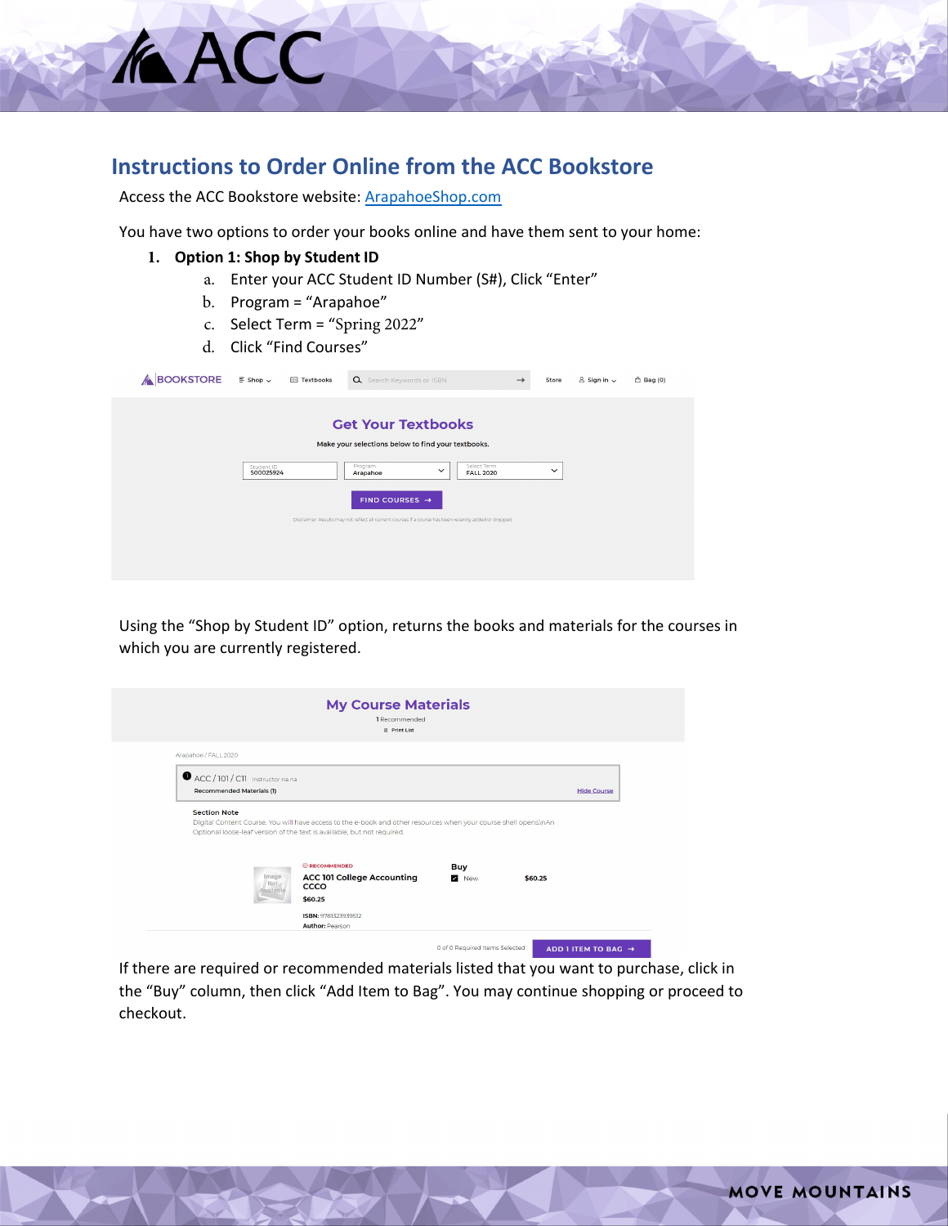## **Instructions to Order Online from the ACC Bookstore**

Access the ACC Bookstore website: [ArapahoeShop.com](https://www.bkstr.com/arapahoeccstore)

You have two options to order your books online and have them sent to your home:

**1. Option 1: Shop by Student ID**

**KACC** 

- a. Enter your ACC Student ID Number (S#), Click "Enter"
- b. Program = "Arapahoe"
- c. Select Term = "Spring 2022"
- d. Click "Find Courses"

| <b>&amp; BOOKSTORE</b> | $\equiv$ Shop $\sim$    | Textbooks | Q Search Keywords or ISBN                                                                                              |                                                 | → | Store        | $8$ Sign in $\sim$ | $\hat{\Box}$ Bag (0) |
|------------------------|-------------------------|-----------|------------------------------------------------------------------------------------------------------------------------|-------------------------------------------------|---|--------------|--------------------|----------------------|
|                        |                         |           | <b>Get Your Textbooks</b>                                                                                              |                                                 |   |              |                    |                      |
|                        |                         |           | Make your selections below to find your textbooks.                                                                     |                                                 |   |              |                    |                      |
|                        | Student ID<br>S00025924 |           | Program<br>Arapahoe                                                                                                    | Select Term<br>$\checkmark$<br><b>FALL 2020</b> |   | $\checkmark$ |                    |                      |
|                        |                         |           | FIND COURSES $\rightarrow$                                                                                             |                                                 |   |              |                    |                      |
|                        |                         |           | Disclaimer: Results may not reflect all current courses if a course has been recently added or dropped,<br><b>SOFT</b> |                                                 |   |              |                    |                      |
|                        |                         |           | <b>Service</b>                                                                                                         |                                                 |   |              |                    |                      |
|                        |                         |           |                                                                                                                        |                                                 |   |              |                    |                      |
|                        |                         |           |                                                                                                                        |                                                 |   |              |                    |                      |

Using the "Shop by Student ID" option, returns the books and materials for the courses in which you are currently registered.

|                                                               | <b>My Course Materials</b><br>1 Recommended<br><b>冊 Print List</b>                                                                                                                          |            |         |                    |
|---------------------------------------------------------------|---------------------------------------------------------------------------------------------------------------------------------------------------------------------------------------------|------------|---------|--------------------|
| Arapahoe / FALL 2020                                          |                                                                                                                                                                                             |            |         |                    |
| ACC / 101 / C11 Instructor na na<br>Recommended Materials (1) |                                                                                                                                                                                             |            |         | <b>Hide Course</b> |
|                                                               |                                                                                                                                                                                             |            |         |                    |
| <b>Section Note</b>                                           | Digital Content Course. You will have access to the e-book and other resources when your course shell opens.\nAn<br>Optional loose-leaf version of the text is available, but not required. |            |         |                    |
|                                                               | <b>@RECOMMENDED</b>                                                                                                                                                                         | <b>Buy</b> |         |                    |
| Image<br>Not                                                  | <b>ACC 101 College Accounting</b><br>CCCO                                                                                                                                                   | New        | \$60.25 |                    |
| wailable                                                      | \$60.25                                                                                                                                                                                     |            |         |                    |

If there are required or recommended materials listed that you want to purchase, click in the "Buy" column, then click "Add Item to Bag". You may continue shopping or proceed to checkout.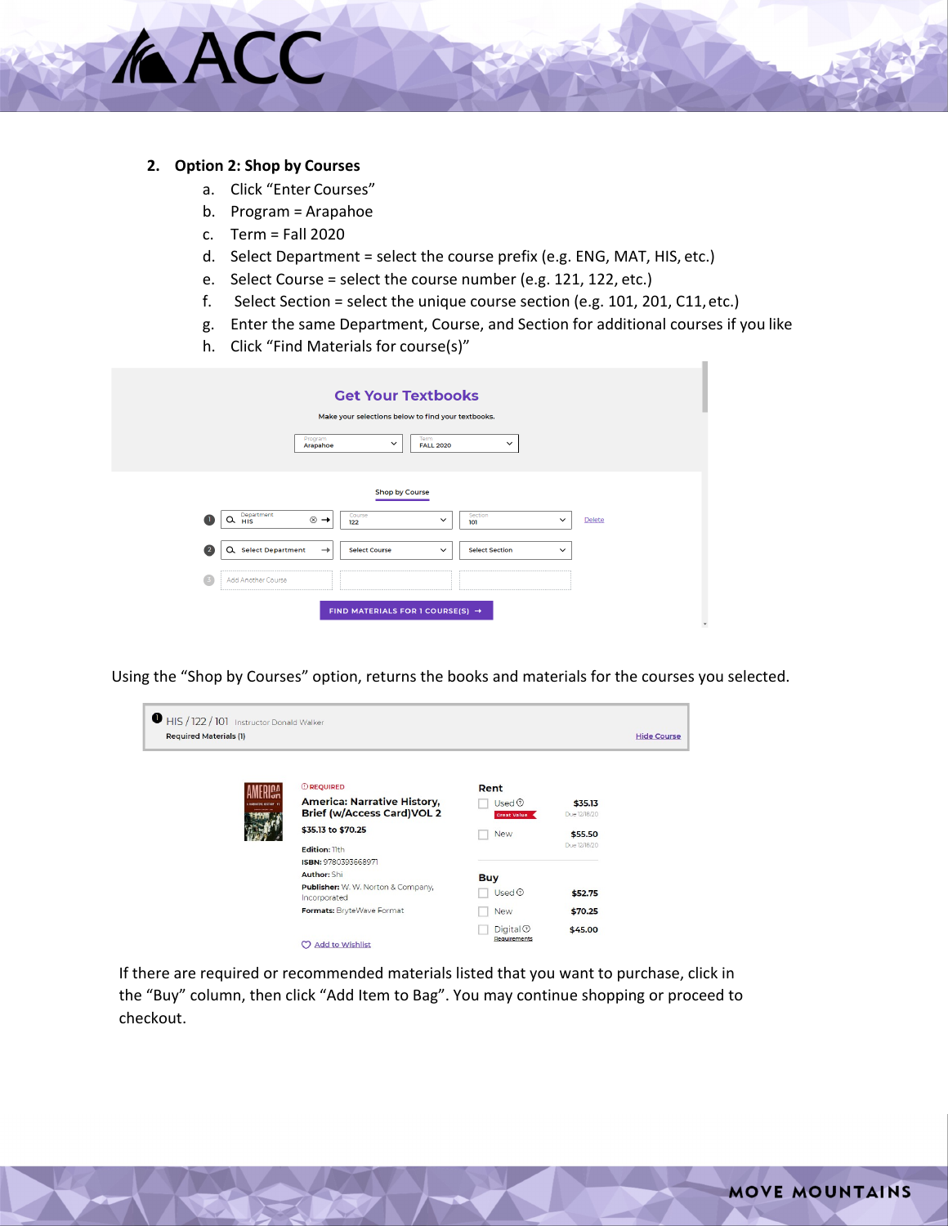## **2. Option 2: Shop by Courses**

**MACC** 

- a. Click "Enter Courses"
- b. Program = Arapahoe
- c. Term = Fall 2020
- d. Select Department = select the course prefix (e.g. ENG, MAT, HIS, etc.)
- e. Select Course = select the course number (e.g. 121, 122, etc.)
- f. Select Section = select the unique course section (e.g. 101, 201, C11,etc.)
- g. Enter the same Department, Course, and Section for additional courses if you like
- h. Click "Find Materials for course(s)"

|              | <b>Get Your Textbooks</b>                                                                                                      |
|--------------|--------------------------------------------------------------------------------------------------------------------------------|
|              | Make your selections below to find your textbooks.                                                                             |
|              | Term<br>Program<br>$\checkmark$<br>$\checkmark$<br>Arapahoe<br><b>FALL 2020</b>                                                |
|              |                                                                                                                                |
|              | <b>Shop by Course</b>                                                                                                          |
|              | Department<br>HIS<br>Course<br>Section<br>$\otimes$ $\rightarrow$<br>Q<br>Delete<br>$\checkmark$<br>$\checkmark$<br>122<br>101 |
| $\mathbf{2}$ | Q. Select Department<br><b>Select Course</b><br><b>Select Section</b><br>$\rightarrow$<br>$\checkmark$<br>$\checkmark$         |
| -3           | Add Another Course                                                                                                             |
|              | FIND MATERIALS FOR 1 COURSE(S) $\rightarrow$                                                                                   |

Using the "Shop by Courses" option, returns the books and materials for the courses you selected.

| $\blacksquare$ HIS / 122 / 101 Instructor Donald Walker<br><b>Required Materials (1)</b> |                                                                                                                   |                                                                     |                         | <b>Hide Course</b> |
|------------------------------------------------------------------------------------------|-------------------------------------------------------------------------------------------------------------------|---------------------------------------------------------------------|-------------------------|--------------------|
|                                                                                          | <b>OREQUIRED</b><br><b>America: Narrative History,</b><br><b>Brief (w/Access Card)VOL 2</b><br>\$35.13 to \$70.25 | Rent<br>$Use d$ <sup><math>\odot</math></sup><br><b>Creat Value</b> | \$35.13<br>Due 12/18/20 |                    |
|                                                                                          | Edition: lith<br>ISBN: 9780393668971                                                                              | <b>New</b>                                                          | \$55.50<br>Due 12/18/20 |                    |
|                                                                                          | <b>Author: Shi</b>                                                                                                | <b>Buy</b>                                                          |                         |                    |
|                                                                                          | <b>Publisher:</b> W. W. Norton & Company,<br>Incorporated                                                         | $Use d$ <sup><math>\odot</math></sup>                               | \$52.75                 |                    |
|                                                                                          | Formats: BryteWave Format                                                                                         | <b>New</b>                                                          | \$70.25                 |                    |
|                                                                                          | <b>Add to Wishlist</b><br>m                                                                                       | $Digital \odotRequirements$                                         | \$45.00                 |                    |

If there are required or recommended materials listed that you want to purchase, click in the "Buy" column, then click "Add Item to Bag". You may continue shopping or proceed to checkout.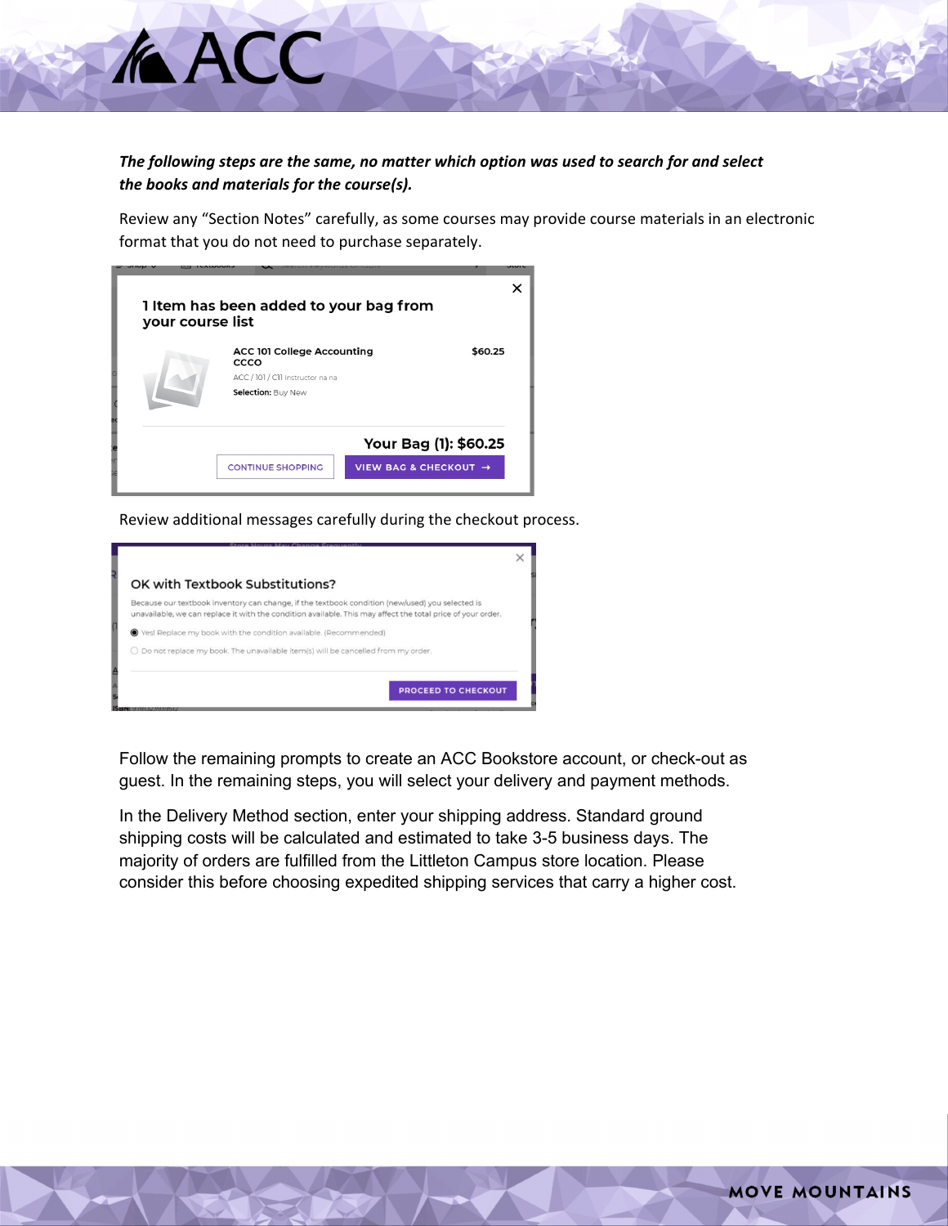## *The following steps are the same, no matter which option was used to search for and select the books and materials for the course(s).*

Review any "Section Notes" carefully, as some courses may provide course materials in an electronic format that you do not need to purchase separately.

| your course list | 1 Item has been added to your bag from    |                       |         |
|------------------|-------------------------------------------|-----------------------|---------|
|                  | <b>ACC 101 College Accounting</b><br>CCCO |                       | \$60.25 |
|                  | ACC / 101 / C11 Instructor na na          |                       |         |
|                  | Selection: Buy New                        |                       |         |
|                  |                                           | Your Bag (1): \$60.25 |         |
|                  | <b>CONTINUE SHOPPING</b>                  | VIEW BAG & CHECKOUT → |         |

**AACC** 

Review additional messages carefully during the checkout process.

| OK with Textbook Substitutions?                                                                                                                                                                                |  |
|----------------------------------------------------------------------------------------------------------------------------------------------------------------------------------------------------------------|--|
| Because our textbook inventory can change, if the textbook condition (new/used) you selected is<br>unavailable, we can replace it with the condition available. This may affect the total price of your order. |  |
| ● Yes! Replace my book with the condition available. (Recommended)                                                                                                                                             |  |
| ○ Do not replace my book. The unavailable item(s) will be cancelled from my order.                                                                                                                             |  |

Follow the remaining prompts to create an ACC Bookstore account, or check-out as guest. In the remaining steps, you will select your delivery and payment methods.

In the Delivery Method section, enter your shipping address. Standard ground shipping costs will be calculated and estimated to take 3-5 business days. The majority of orders are fulfilled from the Littleton Campus store location. Please consider this before choosing expedited shipping services that carry a higher cost.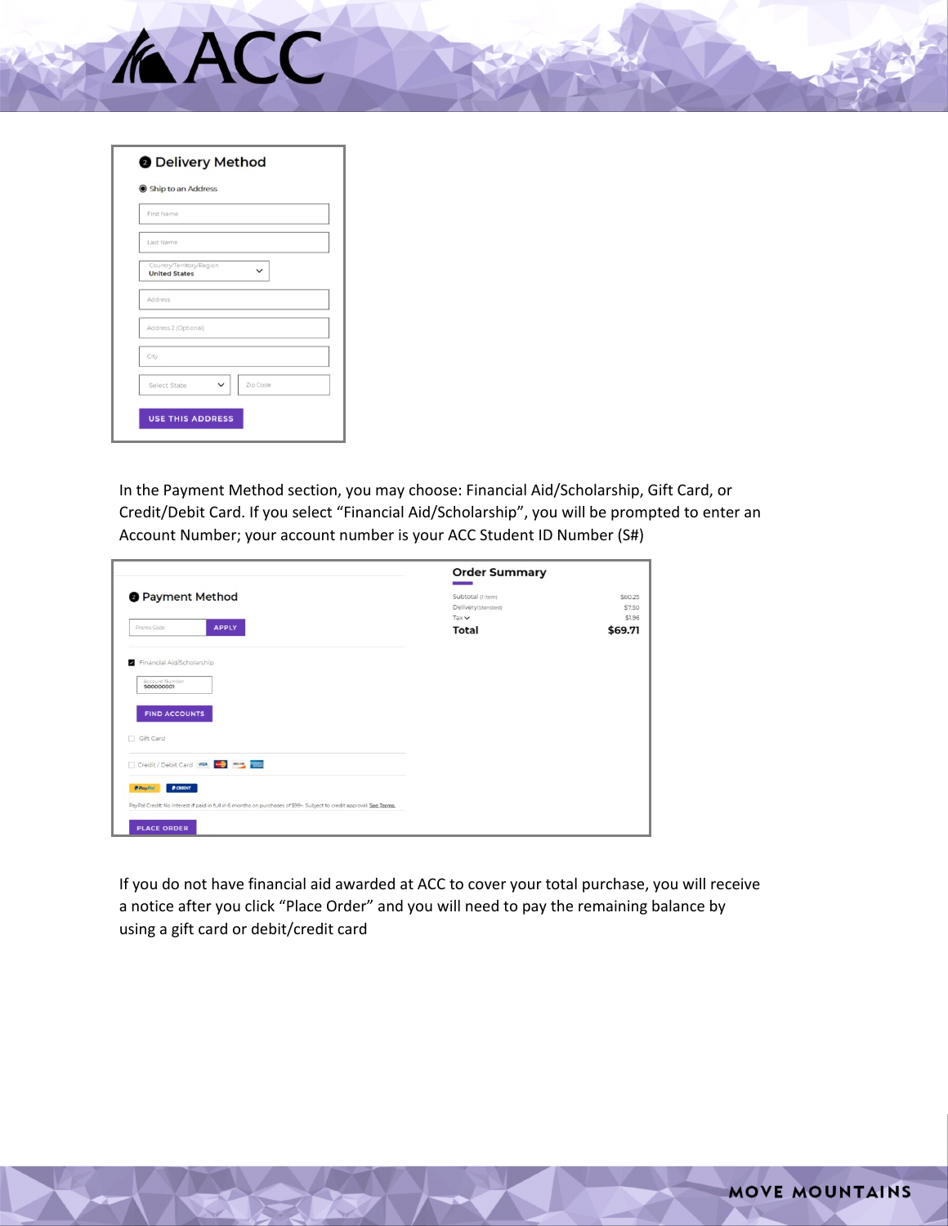

| Ship to an Address                               |   |              |
|--------------------------------------------------|---|--------------|
| First Name                                       |   |              |
| Last Name                                        |   |              |
| Country/Territory/Region<br><b>United States</b> |   | $\checkmark$ |
| Address                                          |   |              |
| Address 2 (Optional)                             |   |              |
| City                                             |   |              |
| Select State                                     | V | Zip Code     |
|                                                  |   |              |

In the Payment Method section, you may choose: Financial Aid/Scholarship, Gift Card, or Credit/Debit Card. If you select "Financial Aid/Scholarship", you will be prompted to enter an Account Number; your account number is your ACC Student ID Number (S#)

|                                                                                                                                                                                                             | <b>Order Summary</b>                                             |                                        |
|-------------------------------------------------------------------------------------------------------------------------------------------------------------------------------------------------------------|------------------------------------------------------------------|----------------------------------------|
| <b>O</b> Payment Method<br><b>APPLY</b><br>Promo Code                                                                                                                                                       | Subtotal (1 Item)<br>Delivery(Standard)<br>Tax v<br><b>Total</b> | \$60.25<br>\$7.50<br>\$1.96<br>\$69.71 |
| Financial Aid/Scholarship<br>Account Number<br>S00000001                                                                                                                                                    |                                                                  |                                        |
| <b>FIND ACCOUNTS</b><br>□ Gift Card                                                                                                                                                                         |                                                                  |                                        |
| Credit / Debit Card VISA<br><b>P CREDIT</b><br><b>PPayPal</b><br>PayPal Credit: No Interest if paid in full in 6 months on purchases of \$99+. Subject to credit approval. See Terms,<br><b>PLACE ORDER</b> |                                                                  |                                        |

If you do not have financial aid awarded at ACC to cover your total purchase, you will receive a notice after you click "Place Order" and you will need to pay the remaining balance by using a gift card or debit/credit card